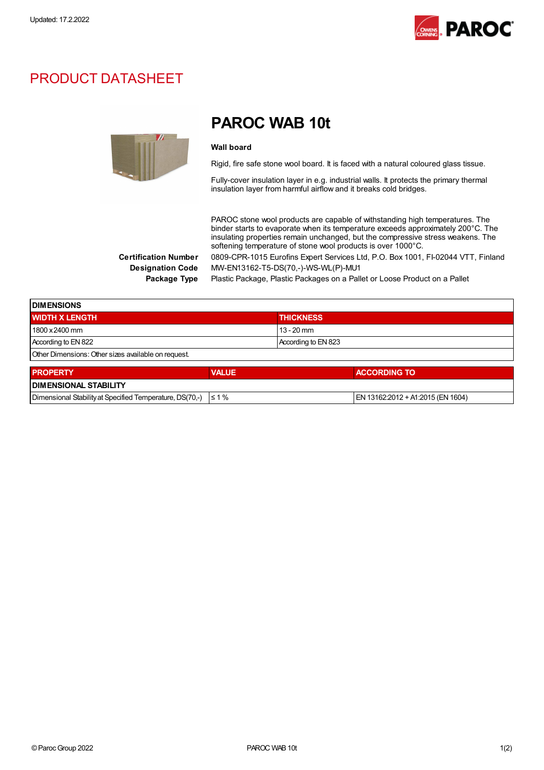

## PRODUCT DATASHEET



# PAROC WAB 10t

#### Wall board

Rigid, fire safe stone wool board. It is faced with a natural coloured glass tissue.

Fully-cover insulation layer in e.g. industrial walls. It protects the primary thermal insulation layer from harmful airflow and it breaks cold bridges.

PAROC stone wool products are capable of withstanding high temperatures. The binder starts to evaporate when its temperature exceeds approximately 200°C. The insulating properties remain unchanged, but the compressive stress weakens. The softening temperature of stone wool products is over 1000°C.

Certification Number 0809-CPR-1015 Eurofins Expert Services Ltd, P.O. Box 1001, FI-02044 VTT, Finland Designation Code MW-EN13162-T5-DS(70,-)-WS-WL(P)-MU1

Package Type Plastic Package, Plastic Packages on a Pallet or Loose Product on a Pallet

| <b>DIMENSIONS</b>                                   |                     |  |
|-----------------------------------------------------|---------------------|--|
| <b>WIDTH X LENGTH</b>                               | <b>THICKNESS</b>    |  |
| 1800 x 2400 mm                                      | $13 - 20$ mm        |  |
| According to EN 822                                 | According to EN 823 |  |
| Other Dimensions: Other sizes available on request. |                     |  |

| <b>PROPERTY</b>                                                     | <b>VALUE</b> | <b>ACCORDING TO</b>               |  |
|---------------------------------------------------------------------|--------------|-----------------------------------|--|
| <b>IDIMENSIONAL STABILITY</b>                                       |              |                                   |  |
| Dimensional Stability at Specified Temperature, DS(70.-) $\leq 1\%$ |              | EN 13162:2012 + A1:2015 (EN 1604) |  |